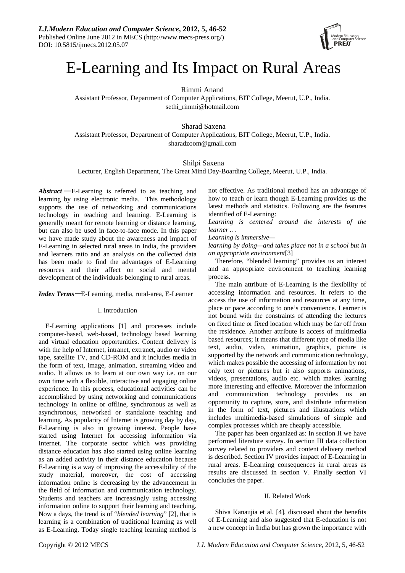

# E-Learning and Its Impact on Rural Areas

Rimmi Anand

Assistant Professor, Department of Computer Applications, BIT College, Meerut, U.P., India. sethi\_rimmi@hotmail.com

Sharad Saxena Assistant Professor, Department of Computer Applications, BIT College, Meerut, U.P., India. sharadzoom@gmail.com

# Shilpi Saxena

Lecturer, English Department, The Great Mind Day-Boarding College, Meerut, U.P., India.

*Abstract* — E-Learning is referred to as teaching and learning by using electronic media.This methodology supports the use of networking and communications technology in teaching and learning. E-Learning is generally meant for remote learning or distance learning, but can also be used in face-to-face mode. In this paper we have made study about the awareness and impact of E-Learning in selected rural areas in India, the providers and learners ratio and an analysis on the collected data has been made to find the advantages of E-Learning resources and their affect on social and mental development of the individuals belonging to rural areas.

*Index Terms*—E-Learning, media, rural-area, E-Learner

## I. Introduction

E-Learning applications [1] and processes include computer-based, web-based, technology based learning and virtual education opportunities. Content delivery is with the help of Internet, intranet, extranet, audio or video tape, satellite TV, and CD-ROM and it includes media in the form of text, image, animation, streaming video and audio. It allows us to learn at our own way i.e. on our own time with a flexible, interactive and engaging online experience. In this process, educational activities can be accomplished by using networking and communications technology in online or offline, synchronous as well as asynchronous, networked or standalone teaching and learning. As popularity of Internet is growing day by day, E-Learning is also in growing interest. People have started using Internet for accessing information via Internet. The corporate sector which was providing distance education has also started using online learning as an added activity in their distance education because E-Learning is a way of improving the accessibility of the study material, moreover, the cost of accessing information online is decreasing by the advancement in the field of information and communication technology. Students and teachers are increasingly using accessing information online to support their learning and teaching. Now a days, the trend is of "*blended learning*" [2], that is learning is a combination of traditional learning as well as E-Learning. Today single teaching learning method is

not effective. As traditional method has an advantage of how to teach or learn though E-Learning provides us the latest methods and statistics. Following are the features identified of E-Learning:

*Learning is centered around the interests of the learner …* 

*Learning is immersive—* 

*learning by doing—and takes place not in a school but in an appropriate environment*[3]

Therefore, "blended learning" provides us an interest and an appropriate environment to teaching learning process.

The main attribute of E-Learning is the flexibility of accessing information and resources. It refers to the access the use of information and resources at any time, place or pace according to one's convenience. Learner is not bound with the constraints of attending the lectures on fixed time or fixed location which may be far off from the residence. Another attribute is access of multimedia based resources; it means that different type of media like text, audio, video, animation, graphics, picture is supported by the network and communication technology, which makes possible the accessing of information by not only text or pictures but it also supports animations, videos, presentations, audio etc. which makes learning more interesting and effective. Moreover the information and communication technology provides us an opportunity to capture, store, and distribute information in the form of text, pictures and illustrations which includes multimedia-based simulations of simple and complex processes which are cheaply accessible.

The paper has been organized as: In section II we have performed literature survey. In section III data collection survey related to providers and content delivery method is described. Section IV provides impact of E-Learning in rural areas. E-Learning consequences in rural areas as results are discussed in section V. Finally section VI concludes the paper.

## II. Related Work

Shiva Kanaujia et al. [4], discussed about the benefits of E-Learning and also suggested that E-education is not a new concept in India but has grown the importance with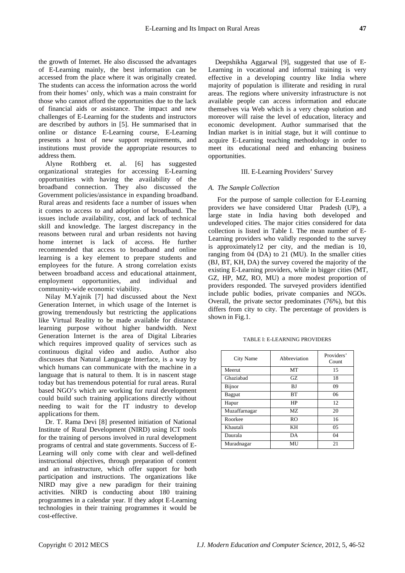the growth of Internet. He also discussed the advantages of E-Learning mainly, the best information can be accessed from the place where it was originally created. The students can access the information across the world from their homes' only, which was a main constraint for those who cannot afford the opportunities due to the lack of financial aids or assistance. The impact and new challenges of E-Learning for the students and instructors are described by authors in [5]. He summarised that in online or distance E-Learning course, E-Learning presents a host of new support requirements, and institutions must provide the appropriate resources to address them.

Alyne Rothberg et. al. [6] has suggested organizational strategies for accessing E-Learning opportunities with having the availability of the broadband connection. They also discussed the Government policies/assistance in expanding broadband. Rural areas and residents face a number of issues when it comes to access to and adoption of broadband. The issues include availability, cost, and lack of technical skill and knowledge. The largest discrepancy in the reasons between rural and urban residents not having home internet is lack of access. He further recommended that access to broadband and online learning is a key element to prepare students and employees for the future. A strong correlation exists between broadband access and educational attainment, employment opportunities, and individual and community-wide economic viability.

Nilay M.Yajnik [7] had discussed about the Next Generation Internet, in which usage of the Internet is growing tremendously but restricting the applications like Virtual Reality to be made available for distance learning purpose without higher bandwidth. Next Generation Internet is the area of Digital Libraries which requires improved quality of services such as continuous digital video and audio. Author also discusses that Natural Language Interface, is a way by which humans can communicate with the machine in a language that is natural to them. It is in nascent stage today but has tremendous potential for rural areas. Rural based NGO's which are working for rural development could build such training applications directly without needing to wait for the IT industry to develop applications for them.

Dr. T. Rama Devi [8] presented initiation of National Institute of Rural Development (NIRD) using ICT tools for the training of persons involved in rural development programs of central and state governments. Success of E-Learning will only come with clear and well-defined instructional objectives, through preparation of content and an infrastructure, which offer support for both participation and instructions. The organizations like NIRD may give a new paradigm for their training activities. NIRD is conducting about 180 training programmes in a calendar year. If they adopt E-Learning technologies in their training programmes it would be cost-effective.

Deepshikha Aggarwal [9], suggested that use of E-Learning in vocational and informal training is very effective in a developing country like India where majority of population is illiterate and residing in rural areas. The regions where university infrastructure is not available people can access information and educate themselves via Web which is a very cheap solution and moreover will raise the level of education, literacy and economic development. Author summarised that the Indian market is in initial stage, but it will continue to acquire E-Learning teaching methodology in order to meet its educational need and enhancing business opportunities.

#### III. E-Learning Providers' Survey

#### *A. The Sample Collection*

For the purpose of sample collection for E-Learning providers we have considered Uttar Pradesh (UP), a large state in India having both developed and undeveloped cities. The major cities considered for data collection is listed in Table I. The mean number of E-Learning providers who validly responded to the survey is approximately12 per city, and the median is 10, ranging from 04 (DA) to 21 (MU). In the smaller cities (BJ, BT, KH, DA) the survey covered the majority of the existing E-Learning providers, while in bigger cities (MT, GZ, HP, MZ, RO, MU) a more modest proportion of providers responded. The surveyed providers identified include public bodies, private companies and NGOs. Overall, the private sector predominates (76%), but this differs from city to city. The percentage of providers is shown in Fig.1.

| City Name     | Abbreviation | Providers'<br>Count |  |  |
|---------------|--------------|---------------------|--|--|
| Meerut        | MT           | 15                  |  |  |
| Ghaziabad     | GZ.          | 18                  |  |  |
| Bijnor        | BJ           | 09                  |  |  |
| Bagpat        | <b>BT</b>    | 06                  |  |  |
| Hapur         | HP           | 12                  |  |  |
| Muzaffarnagar | MZ.          | 20                  |  |  |
| Roorkee       | RO           | 16                  |  |  |
| Khautali      | KН           | $0.5^{\circ}$       |  |  |
| Daurala       | DA           | 04                  |  |  |
| Muradnagar    | MU           | 21                  |  |  |

TABLE I: E-LEARNING PROVIDERS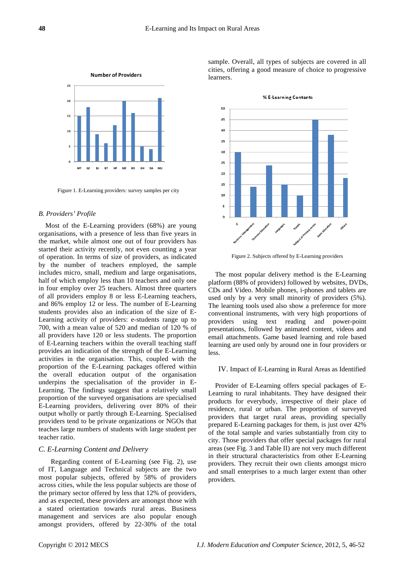

Figure 1. E-Learning providers: survey samples per city

### *B. Providers' Profile*

Most of the E-Learning providers (68%) are young organisations, with a presence of less than five years in the market, while almost one out of four providers has started their activity recently, not even counting a year of operation. In terms of size of providers, as indicated by the number of teachers employed, the sample includes micro, small, medium and large organisations, half of which employ less than 10 teachers and only one in four employ over 25 teachers. Almost three quarters of all providers employ 8 or less E-Learning teachers, and 86% employ 12 or less. The number of E-Learning students provides also an indication of the size of E-Learning activity of providers: e-students range up to 700, with a mean value of 520 and median of 120 % of all providers have 120 or less students. The proportion of E-Learning teachers within the overall teaching staff provides an indication of the strength of the E-Learning activities in the organisation. This, coupled with the proportion of the E-Learning packages offered within the overall education output of the organisation underpins the specialisation of the provider in E-Learning. The findings suggest that a relatively small proportion of the surveyed organisations are specialised E-Learning providers, delivering over 80% of their output wholly or partly through E-Learning. Specialised providers tend to be private organizations or NGOs that teaches large numbers of students with large student per teacher ratio.

### *C. E-Learning Content and Delivery*

Regarding content of E-Learning (see Fig. 2), use of IT, Language and Technical subjects are the two most popular subjects, offered by 58% of providers across cities, while the less popular subjects are those of the primary sector offered by less that 12% of providers, and as expected, these providers are amongst those with a stated orientation towards rural areas. Business management and services are also popular enough amongst providers, offered by 22-30% of the total sample. Overall, all types of subjects are covered in all cities, offering a good measure of choice to progressive learners.



% E-Learning Contents

Figure 2. Subjects offered by E-Learning providers

The most popular delivery method is the E-Learning platform (88% of providers) followed by websites, DVDs, CDs and Video. Mobile phones, i-phones and tablets are used only by a very small minority of providers (5%). The learning tools used also show a preference for more conventional instruments, with very high proportions of providers using text reading and power-point presentations, followed by animated content, videos and email attachments. Game based learning and role based learning are used only by around one in four providers or less.

#### IV. Impact of E-Learning in Rural Areas as Identified

Provider of E-Learning offers special packages of E-Learning to rural inhabitants. They have designed their products for everybody, irrespective of their place of residence, rural or urban. The proportion of surveyed providers that target rural areas, providing specially prepared E-Learning packages for them, is just over 42% of the total sample and varies substantially from city to city. Those providers that offer special packages for rural areas (see Fig. 3 and Table II) are not very much different in their structural characteristics from other E-Learning providers. They recruit their own clients amongst micro and small enterprises to a much larger extent than other providers.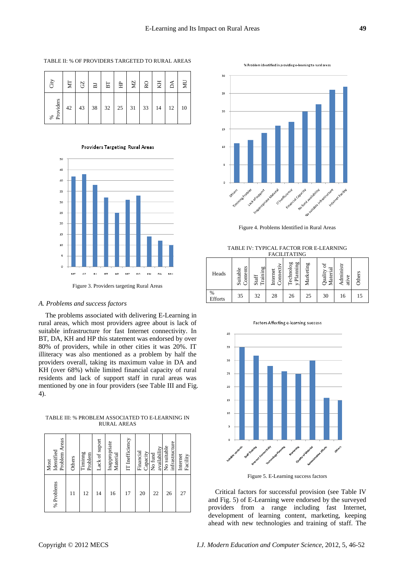TABLE II: % OF PROVIDERS TARGETED TO RURAL AREAS

| <b>City</b> | ZИ | $\rm GZ$  | $\rm B$ | B <sub>T</sub> | 白                    | ΣM | $\rm RO$     | EЯ | $\lambda$ | ≿  |
|-------------|----|-----------|---------|----------------|----------------------|----|--------------|----|-----------|----|
| % Providers | 42 | $43 \mid$ | 38      |                | $32 \mid 25 \mid 31$ |    | $33 \mid 14$ |    | 12        | 10 |

**Providers Targeting Rural Areas** 



#### *A. Problems and success factors*

The problems associated with delivering E-Learning in rural areas, which most providers agree about is lack of suitable infrastructure for fast Internet connectivity. In BT, DA, KH and HP this statement was endorsed by over 80% of providers, while in other cities it was 20%. IT illiteracy was also mentioned as a problem by half the providers overall, taking its maximum value in DA and KH (over 68%) while limited financial capacity of rural residents and lack of support staff in rural areas was mentioned by one in four providers (see Table III and Fig. 4).

TABLE III: % PROBLEM ASSOCIATED TO E-LEARNING IN RURAL AREAS

| % Problems | Problem Areas<br>Identified<br>Most |
|------------|-------------------------------------|
| 11         | Others                              |
| 12         | Timinng<br>Problem                  |
| 14         | Lack of suport                      |
| 16         | Inappropriate<br>Material           |
| 17         | IT Inefficiency                     |
| 20         | Financial<br>Capacity               |
| 22         | availability<br>No fund             |
| 26         | infrastructure<br>No suitable       |
| 27         | Internet<br>Facility                |



Figure 4. Problems Identified in Rural Areas

TABLE IV: TYPICAL FACTOR FOR E-LEARNING FACILITATING

| Heads        | Contents<br>Suitable | raining<br>Staff | onnec<br>nternet | ρО<br>echnolog<br>Plannin | Marketing | ಕ<br>Material<br>Quality | Administr<br>ative | Others |
|--------------|----------------------|------------------|------------------|---------------------------|-----------|--------------------------|--------------------|--------|
| %<br>Efforts | 35                   | 32               | 28               | 26                        | 25        | 30                       | 16                 | 15     |



Figure 5. E-Learning success factors

Critical factors for successful provision (see Table IV and Fig. 5) of E-Learning were endorsed by the surveyed providers from a range including fast Internet, development of learning content, marketing, keeping ahead with new technologies and training of staff. The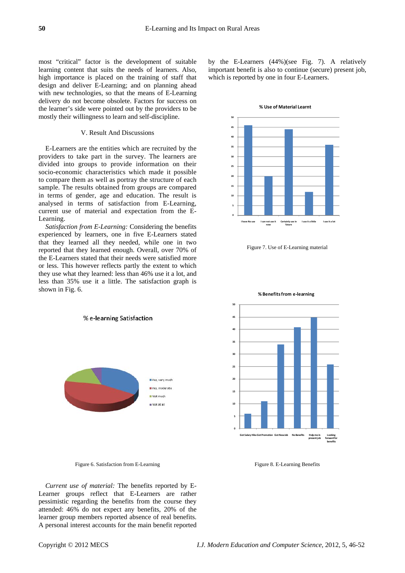most "critical" factor is the development of suitable learning content that suits the needs of learners. Also, high importance is placed on the training of staff that design and deliver E-Learning; and on planning ahead with new technologies, so that the means of E-Learning delivery do not become obsolete. Factors for success on the learner's side were pointed out by the providers to be mostly their willingness to learn and self-discipline.

# V. Result And Discussions

E-Learners are the entities which are recruited by the providers to take part in the survey. The learners are divided into groups to provide information on their socio-economic characteristics which made it possible to compare them as well as portray the structure of each sample. The results obtained from groups are compared in terms of gender, age and education. The result is analysed in terms of satisfaction from E-Learning, current use of material and expectation from the E-Learning.

*Satisfaction from E-Learning:* Considering the benefits experienced by learners, one in five E-Learners stated that they learned all they needed, while one in two reported that they learned enough. Overall, over 70% of the E-Learners stated that their needs were satisfied more or less. This however reflects partly the extent to which they use what they learned: less than 46% use it a lot, and less than 35% use it a little. The satisfaction graph is shown in Fig. 6.

% e-learning Satisfaction



**% Use of Material Learnt**



Figure 7. Use of E-Learning material



Figure 6. Satisfaction from E-Learning

*Current use of material:* The benefits reported by E-Learner groups reflect that E-Learners are rather pessimistic regarding the benefits from the course they attended: 46% do not expect any benefits, 20% of the learner group members reported absence of real benefits. A personal interest accounts for the main benefit reported



#### **% Benefitsfrom e‐learning**

Figure 8. E-Learning Benefits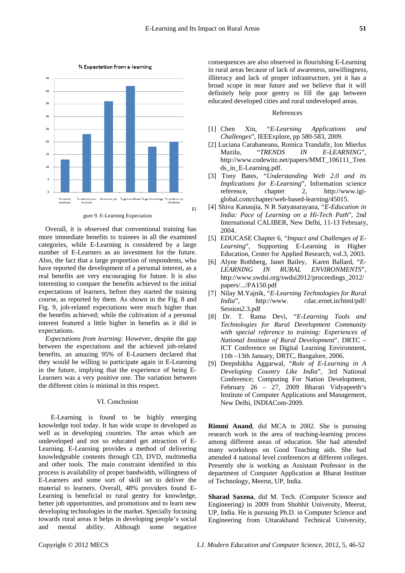Fi



% Expectation from e-learning

gure 9. E-Learning Expectation

Overall, it is observed that conventional training has more immediate benefits to trainees in all the examined categories, while E-Learning is considered by a large number of E-Learners as an investment for the future. Also, the fact that a large proportion of respondents, who have reported the development of a personal interest, as a real benefits are very encouraging for future. It is also interesting to compare the benefits achieved to the initial expectations of learners, before they started the training course, as reported by them. As shown in the Fig. 8 and Fig. 9, job-related expectations were much higher than the benefits achieved; while the cultivation of a personal interest featured a little higher in benefits as it did in expectations.

*Expectations from learning:* However, despite the gap between the expectations and the achieved job-related benefits, an amazing 95% of E-Learners declared that they would be willing to participate again in E-Learning in the future, implying that the experience of being E-Learners was a very positive one. The variation between the different cities is minimal in this respect.

## VI. Conclusion

E-Learning is found to be highly emerging knowledge tool today. It has wide scope in developed as well as in developing countries. The areas which are undeveloped and not so educated get attraction of E-Learning. E-Learning provides a method of delivering knowledgeable contents through CD, DVD, multimedia and other tools. The main constraint identified in this process is availability of proper bandwidth, willingness of E-Learners and some sort of skill set to deliver the material to learners. Overall, 48% providers found E-Learning is beneficial to rural gentry for knowledge, better job opportunities, and promotions and to learn new developing technologies in the market. Specially focusing towards rural areas it helps in developing people's social and mental ability. Although some negative consequences are also observed in flourishing E-Learning in rural areas because of lack of awareness, unwillingness, illiteracy and lack of proper infrastructure, yet it has a broad scope in near future and we believe that it will definitely help poor gentry to fill the gap between educated developed cities and rural undeveloped areas.

# References

- [1] Chen Xin, "*E-Learning Applications and Challenges*", IEEExplore, pp 580-583, 2009.
- [2] Luciana Carabaneanu, Romica Trandafir, Ion Mierlus Mazilu, "*TRENDS IN E-LEARNING*", http://www.codewitz.net/papers/MMT\_106111\_Tren ds\_in\_E-Learning.pdf.
- [3] Tony Bates, "*Understanding Web 2.0 and its Implications for E-Learning*", Information science reference, chapter 2, http://www.igiglobal.com/chapter/web-based-learning/45015.
- [4] Shiva Kanaujia, N R Satyanarayana, "*E-Education in India: Pace of Learning on a Hi-Tech Path*", 2nd International CALIBER, New Delhi, 11-13 February, 2004.
- [5] EDUCASE Chapter 6, "*Impact and Challenges of E-Learning*", Supporting E-Learning in Higher Education, Center for Applied Research, vol.3, 2003.
- [6] Alyne Rothberg, Janet Bailey, Karen Ballard, "*E-LEARNING IN RURAL ENVIRONMENTS*", http://www.swdsi.org/swdsi2012/proceedings\_2012/ papers/.../PA150.pdf
- [7] Nilay M.Yajnik, "*E-Learning Technologies for Rural India*", http://www. cdac.ernet.in/html/pdf/ Session2.3.pdf
- [8] Dr. T. Rama Devi, "*E-Learning Tools and Technologies for Rural Development Community with special reference to training: Experiences of National Institute of Rural Development*", DRTC – ICT Conference on Digital Learning Environment, 11th –13th January, DRTC, Bangalore, 2006.
- [9] Deepshikha Aggarwal, "*Role of E-Learning in A Developing Country Like India*", 3rd National Conference; Computing For Nation Development, February 26 – 27, 2009 Bharati Vidyapeeth's Institute of Computer Applications and Management, New Delhi, INDIACom-2009.

**Rimmi Anand**, did MCA in 2002. She is pursuing research work in the area of teaching-learning process among different areas of education. She had attended many workshops on Good Teaching aids. She had attended 4 national level conferences at different colleges. Presently she is working as Assistant Professor in the department of Computer Application at Bharat Institute of Technology, Meerut, UP, India.

**Sharad Saxena**, did M. Tech. (Computer Science and Engineering) in 2009 from Shobhit University, Meerut, UP, India. He is pursuing Ph.D. in Computer Science and Engineering from Uttarakhand Technical University,